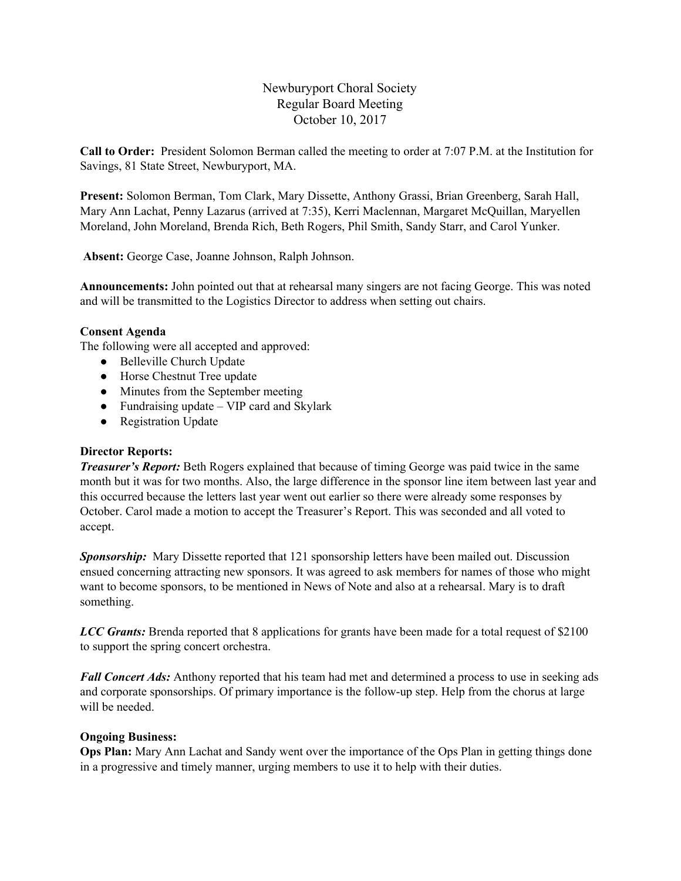# Newburyport Choral Society Regular Board Meeting October 10, 2017

**Call to Order:** President Solomon Berman called the meeting to order at 7:07 P.M. at the Institution for Savings, 81 State Street, Newburyport, MA.

**Present:** Solomon Berman, Tom Clark, Mary Dissette, Anthony Grassi, Brian Greenberg, Sarah Hall, Mary Ann Lachat, Penny Lazarus (arrived at 7:35), Kerri Maclennan, Margaret McQuillan, Maryellen Moreland, John Moreland, Brenda Rich, Beth Rogers, Phil Smith, Sandy Starr, and Carol Yunker.

**Absent:** George Case, Joanne Johnson, Ralph Johnson.

**Announcements:** John pointed out that at rehearsal many singers are not facing George. This was noted and will be transmitted to the Logistics Director to address when setting out chairs.

## **Consent Agenda**

The following were all accepted and approved:

- Belleville Church Update
- Horse Chestnut Tree update
- Minutes from the September meeting
- Fundraising update VIP card and Skylark
- Registration Update

### **Director Reports:**

*Treasurer's Report:* Beth Rogers explained that because of timing George was paid twice in the same month but it was for two months. Also, the large difference in the sponsor line item between last year and this occurred because the letters last year went out earlier so there were already some responses by October. Carol made a motion to accept the Treasurer's Report. This was seconded and all voted to accept.

*Sponsorship:* Mary Dissette reported that 121 sponsorship letters have been mailed out. Discussion ensued concerning attracting new sponsors. It was agreed to ask members for names of those who might want to become sponsors, to be mentioned in News of Note and also at a rehearsal. Mary is to draft something.

*LCC Grants:* Brenda reported that 8 applications for grants have been made for a total request of \$2100 to support the spring concert orchestra.

*Fall Concert Ads:* Anthony reported that his team had met and determined a process to use in seeking ads and corporate sponsorships. Of primary importance is the follow-up step. Help from the chorus at large will be needed.

### **Ongoing Business:**

**Ops Plan:** Mary Ann Lachat and Sandy went over the importance of the Ops Plan in getting things done in a progressive and timely manner, urging members to use it to help with their duties.